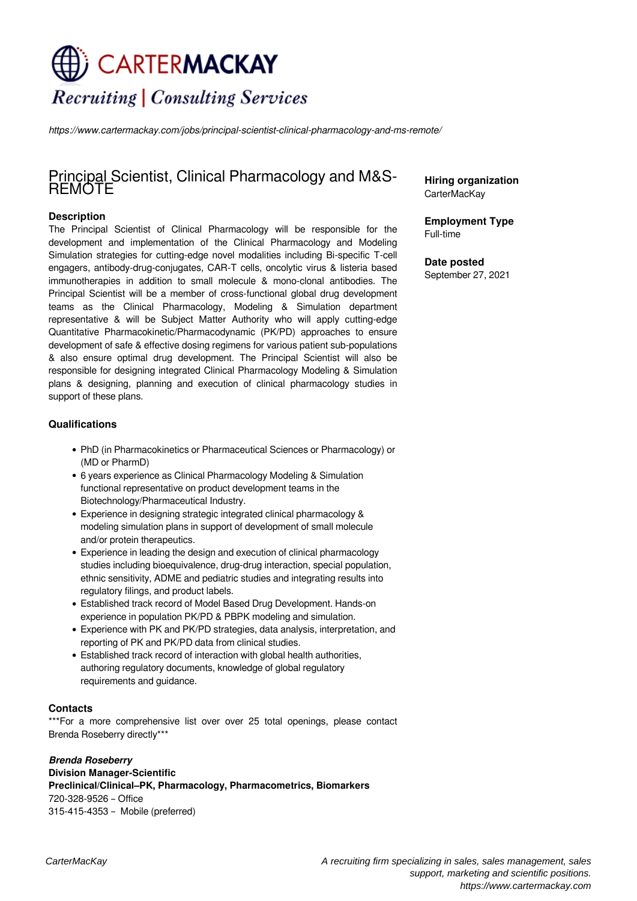# CARTER**MACKAY Recruiting | Consulting Services**

*https://www.cartermackay.com/jobs/principal-scientist-clinical-pharmacology-and-ms-remote/*

# Principal Scientist, Clinical Pharmacology and M&S-REMOTE

## **Description**

The Principal Scientist of Clinical Pharmacology will be responsible for the development and implementation of the Clinical Pharmacology and Modeling Simulation strategies for cutting-edge novel modalities including Bi-specific T-cell engagers, antibody-drug-conjugates, CAR-T cells, oncolytic virus & listeria based immunotherapies in addition to small molecule & mono-clonal antibodies. The Principal Scientist will be a member of cross-functional global drug development teams as the Clinical Pharmacology, Modeling & Simulation department representative & will be Subject Matter Authority who will apply cutting-edge Quantitative Pharmacokinetic/Pharmacodynamic (PK/PD) approaches to ensure development of safe & effective dosing regimens for various patient sub-populations & also ensure optimal drug development. The Principal Scientist will also be responsible for designing integrated Clinical Pharmacology Modeling & Simulation plans & designing, planning and execution of clinical pharmacology studies in support of these plans.

### **Qualifications**

- PhD (in Pharmacokinetics or Pharmaceutical Sciences or Pharmacology) or (MD or PharmD)
- 6 years experience as Clinical Pharmacology Modeling & Simulation functional representative on product development teams in the Biotechnology/Pharmaceutical Industry.
- Experience in designing strategic integrated clinical pharmacology & modeling simulation plans in support of development of small molecule and/or protein therapeutics.
- Experience in leading the design and execution of clinical pharmacology studies including bioequivalence, drug-drug interaction, special population, ethnic sensitivity, ADME and pediatric studies and integrating results into regulatory filings, and product labels.
- Established track record of Model Based Drug Development. Hands-on experience in population PK/PD & PBPK modeling and simulation.
- Experience with PK and PK/PD strategies, data analysis, interpretation, and reporting of PK and PK/PD data from clinical studies.
- Established track record of interaction with global health authorities, authoring regulatory documents, knowledge of global regulatory requirements and guidance.

#### **Contacts**

\*\*\*For a more comprehensive list over over 25 total openings, please contact Brenda Roseberry directly\*\*\*

*Brenda Roseberry* **Division Manager-Scientific Preclinical/Clinical–PK, Pharmacology, Pharmacometrics, Biomarkers** 720-328-9526 – Office 315-415-4353 – Mobile (preferred)

**Hiring organization** CarterMacKay

**Employment Type** Full-time

**Date posted** September 27, 2021